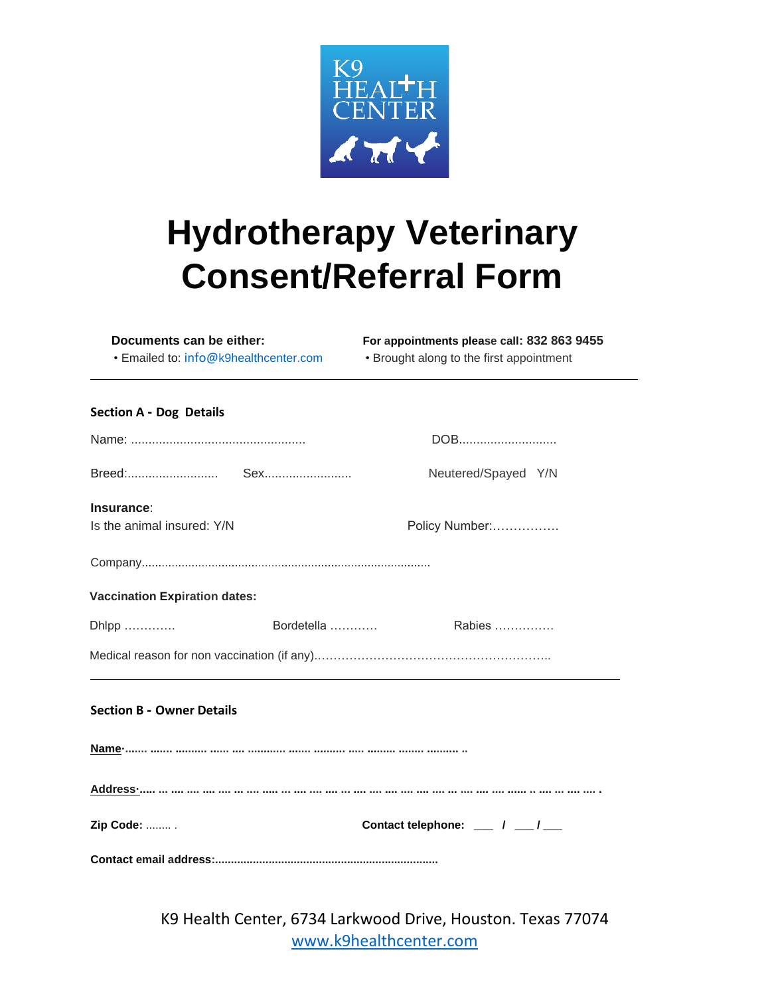

## **Hydrotherapy Veterinary Consent/Referral Form**

 **Documents can be either: For appointments please call: 832 863 9455**

• Emailed to: [info@](mailto:info@k9healthcenter.com)[k9healthcenter.com](mailto:info@k9healthcenter.com) • Brought along to the first appointment

| <b>Section A - Dog Details</b>       |  |                               |
|--------------------------------------|--|-------------------------------|
|                                      |  | DOB                           |
|                                      |  | Neutered/Spayed Y/N           |
| Insurance:                           |  |                               |
| Is the animal insured: Y/N           |  | Policy Number:                |
|                                      |  |                               |
| <b>Vaccination Expiration dates:</b> |  |                               |
| Dhlpp                                |  |                               |
|                                      |  |                               |
| <b>Section B - Owner Details</b>     |  |                               |
|                                      |  |                               |
|                                      |  |                               |
| Zip Code:                            |  | Contact telephone: __ / _/_/_ |
|                                      |  |                               |

K9 Health Center, 6734 Larkwood Drive, Houston. Texas 77074 [www.k9healthcenter.com](http://www.k9healthcenter.com/)